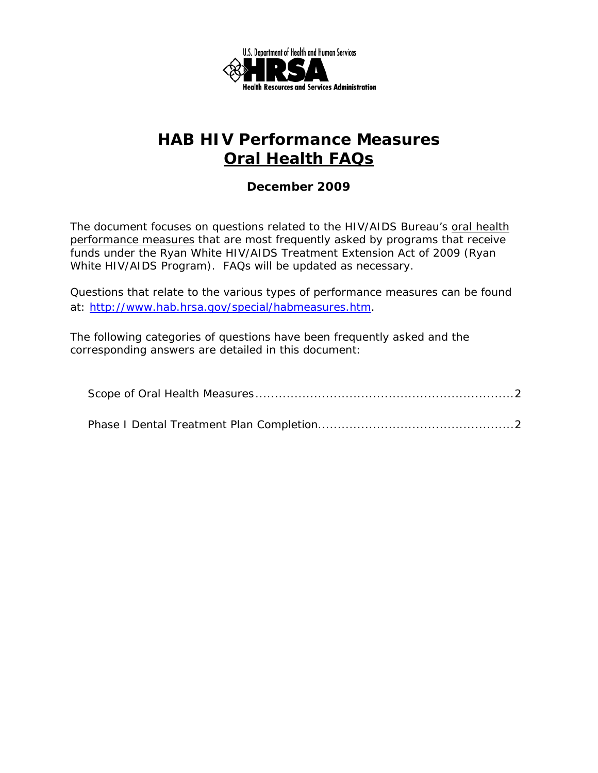

# **HAB HIV Performance Measures Oral Health FAQs**

#### *December 2009*

The document focuses on questions related to the HIV/AIDS Bureau's oral health performance measures that are most frequently asked by programs that receive funds under the Ryan White HIV/AIDS Treatment Extension Act of 2009 (Ryan White HIV/AIDS Program). FAQs will be updated as necessary.

Questions that relate to the various types of performance measures can be found at: http://www.hab.hrsa.gov/special/habmeasures.htm.

The following categories of questions have been frequently asked and the corresponding answers are detailed in this document: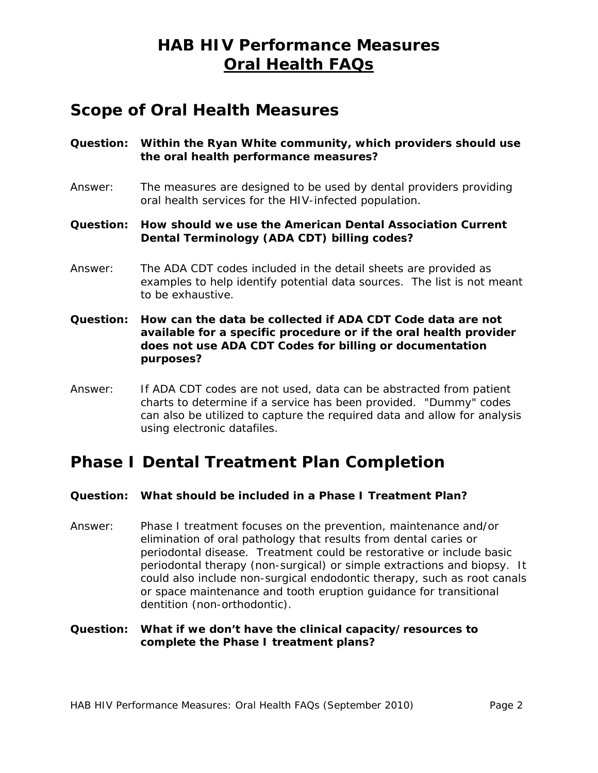### **HAB HIV Performance Measures Oral Health FAQs**

### **Scope of Oral Health Measures**

- **Question: Within the Ryan White community, which providers should use the oral health performance measures?**
- Answer: The measures are designed to be used by dental providers providing oral health services for the HIV-infected population.
- **Question: How should we use the American Dental Association Current Dental Terminology (ADA CDT) billing codes?**
- Answer: The ADA CDT codes included in the detail sheets are provided as examples to help identify potential data sources. The list is not meant to be exhaustive.
- **Question: How can the data be collected if ADA CDT Code data are not available for a specific procedure or if the oral health provider does not use ADA CDT Codes for billing or documentation purposes?**
- can also be utilized to capture the required data and allow for analysis Answer: If ADA CDT codes are not used, data can be abstracted from patient charts to determine if a service has been provided. "Dummy" codes using electronic datafiles.

# **Phase I Dental Treatment Plan Completion**

#### **Question: What should be included in a Phase I Treatment Plan?**

Answer: Phase I treatment focuses on the prevention, maintenance and/or elimination of oral pathology that results from dental caries or periodontal disease. Treatment could be restorative or include basic periodontal therapy (non-surgical) or simple extractions and biopsy. It could also include non-surgical endodontic therapy, such as root canals or space maintenance and tooth eruption guidance for transitional dentition (non-orthodontic).

#### **complete the Phase I treatment plans? Question: What if we don't have the clinical capacity/resources to**